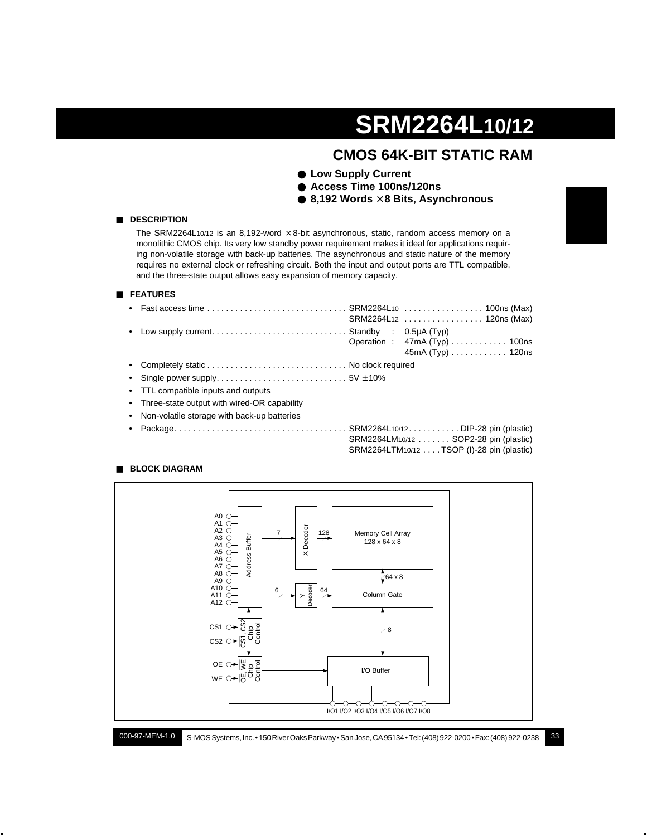## **CMOS 64K-BIT STATIC RAM**

- **Low Supply Current**
- **Access Time 100ns/120ns**
- **8,192 Words** × **8 Bits, Asynchronous**



The SRM2264L10/12 is an 8,192-word  $\times$  8-bit asynchronous, static, random access memory on a monolithic CMOS chip. Its very low standby power requirement makes it ideal for applications requiring non-volatile storage with back-up batteries. The asynchronous and static nature of the memory requires no external clock or refreshing circuit. Both the input and output ports are TTL compatible, and the three-state output allows easy expansion of memory capacity.

#### ■ **FEATURES**

■ **DESCRIPTION**

| • Fast access time $\ldots \ldots \ldots \ldots \ldots \ldots \ldots \ldots$ SRM2264L10 $\ldots \ldots \ldots \ldots \ldots \ldots$ 100ns (Max) |                                               |
|-------------------------------------------------------------------------------------------------------------------------------------------------|-----------------------------------------------|
|                                                                                                                                                 | $45mA(Typ) \ldots \ldots \ldots \ldots 120ns$ |
|                                                                                                                                                 |                                               |
|                                                                                                                                                 |                                               |
| • TTL compatible inputs and outputs                                                                                                             |                                               |
| • Three-state output with wired-OR capability                                                                                                   |                                               |
| • Non-volatile storage with back-up batteries                                                                                                   |                                               |

**•** Package. . . . . . . . . . . . . . . . . . . . . . . . . . . . . . . . . . . . . SRM2264L10/12 . . . . . . . . . . . DIP-28 pin (plastic) SRM2264LM10/12 . . . . . . . SOP2-28 pin (plastic) SRM2264LTM10/12 . . . . TSOP (I)-28 pin (plastic)

#### ■ **BLOCK DIAGRAM**



S-MOS Systems, Inc. • 150 River Oaks Parkway • San Jose, CA 95134 • Tel: (408) 922-0200 • Fax: (408) 922-0238 33 000-97-MEM-1.0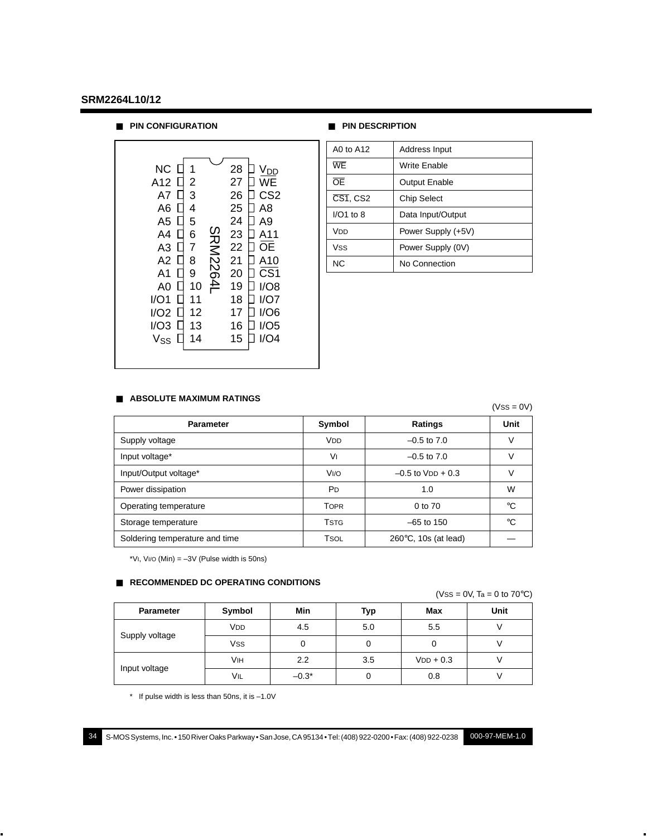■ **PIN CONFIGURATION** ■ **PIN DESCRIPTION**

| <b>NC</b><br>28<br>V <sub>DD</sub><br>A12<br>27<br>2<br>WE<br>3<br>26<br>CS2<br>A7<br>25<br>A <sub>8</sub><br>A6<br>4<br>24<br>A9<br>A5<br>5<br>SRM2264I<br>23<br>6<br>A4<br>A11<br>22<br>7<br>A3<br>ΟE<br>21<br>8<br>A <sub>2</sub><br>A10<br>CS <sub>1</sub><br>20<br>9<br>A1<br>19<br>I/O8<br>10<br>A0<br>18<br>I/O1<br>11<br>I/O7<br>12<br>17<br>I/O6<br>I/O2<br>13<br>16<br>I/O3<br>I/O5<br>14<br>I/O4<br>15<br>Vss |  |  |  |  |  |
|--------------------------------------------------------------------------------------------------------------------------------------------------------------------------------------------------------------------------------------------------------------------------------------------------------------------------------------------------------------------------------------------------------------------------|--|--|--|--|--|
|--------------------------------------------------------------------------------------------------------------------------------------------------------------------------------------------------------------------------------------------------------------------------------------------------------------------------------------------------------------------------------------------------------------------------|--|--|--|--|--|

| A0 to A12              | Address Input        |
|------------------------|----------------------|
| WF                     | <b>Write Enable</b>  |
| ŌF                     | <b>Output Enable</b> |
| $\overline{CS1}$ , CS2 | <b>Chip Select</b>   |
| $I/O1$ to $8$          | Data Input/Output    |
| Vnn                    | Power Supply (+5V)   |
| <b>Vss</b>             | Power Supply (0V)    |
| <b>NC</b>              | No Connection        |

#### ■ **ABSOLUTE MAXIMUM RATINGS**

|                                |                       |                                | $(VSS = 0V)$ |
|--------------------------------|-----------------------|--------------------------------|--------------|
| <b>Parameter</b>               | Symbol                | Ratings                        | Unit         |
| Supply voltage                 | <b>V<sub>DD</sub></b> | $-0.5$ to $7.0$                | V            |
| Input voltage*                 | V١                    | $-0.5$ to $7.0$                | ν            |
| Input/Output voltage*          | V <sub>I/O</sub>      | $-0.5$ to $VDD + 0.3$          | ν            |
| Power dissipation              | <b>P</b> D            | 1.0                            | W            |
| Operating temperature          | <b>TOPR</b>           | 0 to 70                        | $^{\circ}C$  |
| Storage temperature            | <b>TSTG</b>           | $-65$ to 150                   | °C           |
| Soldering temperature and time | <b>TSOL</b>           | $260^{\circ}$ C, 10s (at lead) |              |

\*VI, VI/O (Min)  $= -3V$  (Pulse width is 50ns)

#### ■ **RECOMMENDED DC OPERATING CONDITIONS**

| $(VSS = 0V, Ta = 0 to 70°C)$ |  |
|------------------------------|--|
|------------------------------|--|

| <b>Parameter</b> | Symbol | Min     | Typ | Max         | Unit |
|------------------|--------|---------|-----|-------------|------|
|                  | VDD    | 4.5     | 5.0 | 5.5         |      |
| Supply voltage   | Vss    | 0       | 0   | υ           |      |
|                  | Vıн    | 2.2     | 3.5 | $VDD + 0.3$ |      |
| Input voltage    | VIL    | $-0.3*$ |     | 0.8         |      |

\* If pulse width is less than 50ns, it is –1.0V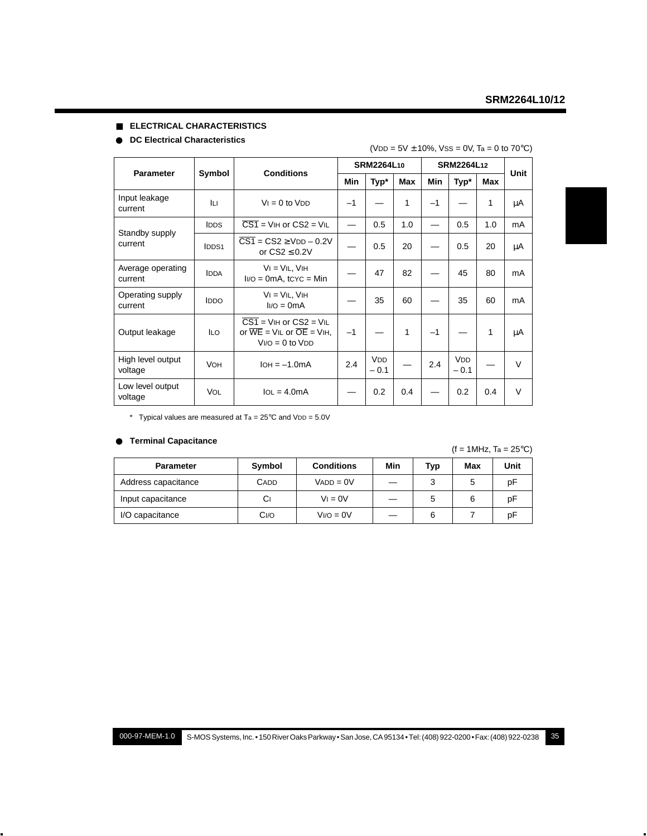#### ■ **ELECTRICAL CHARACTERISTICS**

#### ● **DC Electrical Characteristics**

#### $(VDD = 5V \pm 10\%, VSS = 0V, Ta = 0 to 70°C)$

| <b>Parameter</b>             |             | <b>Conditions</b>                                                                                                  | SRM2264L10 |                      |     | SRM2264L12 | Unit                            |     |        |
|------------------------------|-------------|--------------------------------------------------------------------------------------------------------------------|------------|----------------------|-----|------------|---------------------------------|-----|--------|
|                              | Symbol      |                                                                                                                    |            | Typ*                 | Max | Min        | Typ*                            | Max |        |
| Input leakage<br>current     | Iц          | $Vi = 0$ to $VDD$                                                                                                  | $-1$       |                      | 1   | $-1$       |                                 | 1   | μA     |
|                              | <b>IDDS</b> | $\overline{CS1}$ = VIH or $CS2$ = VIL                                                                              |            | 0.5                  | 1.0 |            | 0.5                             | 1.0 | mA     |
| Standby supply<br>current    | IDDS1       | $\overline{CS1}$ = $\overline{CS2}$ > $VDD - 0.2V$<br>or $CS2 \leq 0.2V$                                           |            | 0.5                  | 20  |            | 0.5                             | 20  | μA     |
| Average operating<br>current | <b>IDDA</b> | $VI = VIL$ , $VIH$<br>$I/O = 0mA$ , tcyc = Min                                                                     |            | 47                   | 82  |            | 45                              | 80  | mA     |
| Operating supply<br>current  | <b>IDDO</b> | $VI = VIL$ , $VIH$<br>$I/O = OmA$                                                                                  |            | 35                   | 60  |            | 35                              | 60  | mA     |
| Output leakage               | <b>ILO</b>  | $\overline{CS1}$ = VIH or $CS2$ = VIL<br>or $\overline{WE}$ = VIL or $\overline{OE}$ = VIH,<br>$V1/O = 0$ to $VDD$ | $-1$       |                      | 1   | $-1$       |                                 | 1   | μA     |
| High level output<br>voltage | <b>VOH</b>  | $IOH = -1.0mA$                                                                                                     | 2.4        | <b>VDD</b><br>$-0.1$ |     | 2.4        | <b>V<sub>DD</sub></b><br>$-0.1$ |     | $\vee$ |
| Low level output<br>voltage  | <b>VOL</b>  | $IOL = 4.0mA$                                                                                                      |            | 0.2                  | 0.4 |            | 0.2                             | 0.4 | $\vee$ |

\* Typical values are measured at  $Ta = 25^{\circ}C$  and  $VDD = 5.0V$ 

#### ● **Terminal Capacitance**

 $(f = 1$ MHz, Ta = 25°C)

| <b>Parameter</b>    | Symbol      | <b>Conditions</b> | Min | Typ | Max | Unit |
|---------------------|-------------|-------------------|-----|-----|-----|------|
| Address capacitance | <b>CADD</b> | $VADD = OV$       |     |     |     | рF   |
| Input capacitance   | Сı          | $V = 0V$          |     |     |     | рF   |
| I/O capacitance     | Ci/O        | $V1/O = 0V$       |     | 6   |     | рF   |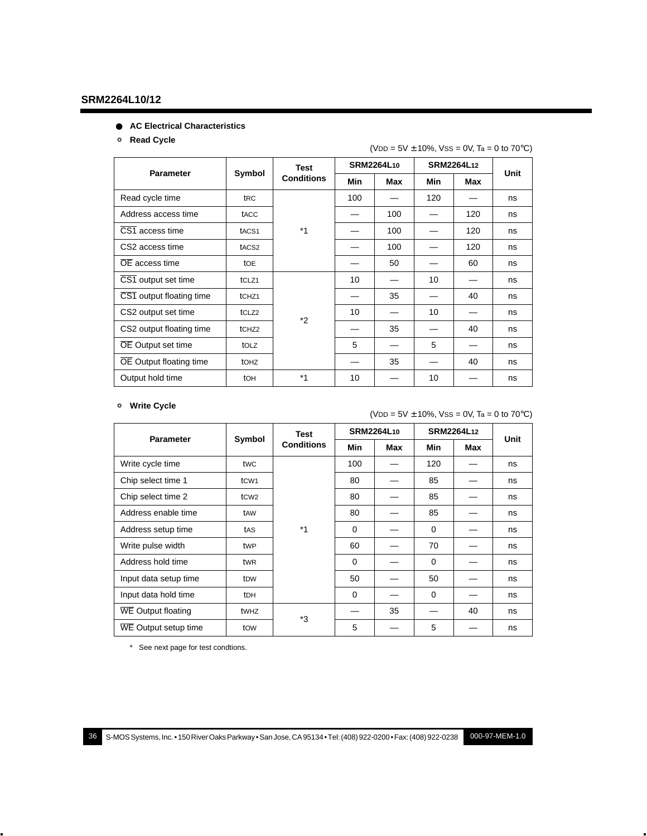#### ● **AC Electrical Characteristics**

#### ° **Read Cycle**

|                          |                   |                   |            | $\sqrt{20} = 5$ $\sqrt{2}$ iv 70, v 33 – 0 v, ia – 0 to 70 °C/ |            |                   |    |
|--------------------------|-------------------|-------------------|------------|----------------------------------------------------------------|------------|-------------------|----|
|                          |                   | <b>Test</b>       | SRM2264L10 |                                                                | SRM2264L12 | Unit              |    |
| <b>Parameter</b>         | Symbol            | <b>Conditions</b> | Min        | Max                                                            |            | <b>Min</b><br>Max |    |
| Read cycle time          | tRC               |                   | 100        |                                                                | 120        |                   | ns |
| Address access time      | tacc              |                   |            | 100                                                            |            | 120               | ns |
| CS1 access time          | tACS <sub>1</sub> | $*_{1}$           |            | 100                                                            |            | 120               | ns |
| CS2 access time          | tACS2             |                   |            | 100                                                            |            | 120               | ns |
| OE access time           | <b>tOE</b>        |                   |            | 50                                                             |            | 60                | ns |
| CS1 output set time      | tCLZ1             |                   | 10         |                                                                | 10         |                   | ns |
| CS1 output floating time | tCHZ1             |                   |            | 35                                                             |            | 40                | ns |
| CS2 output set time      | tCLZ <sub>2</sub> | $*_{2}$           | 10         |                                                                | 10         |                   | ns |
| CS2 output floating time | tCHZ <sub>2</sub> |                   |            | 35                                                             |            | 40                | ns |
| OE Output set time       | tolz              |                   | 5          |                                                                | 5          |                   | ns |
| OE Output floating time  | <b>tOHZ</b>       |                   |            | 35                                                             |            | 40                | ns |
| Output hold time         | tOH               | $*1$              | 10         |                                                                | 10         |                   | ns |

#### $(VDD = 5V + 10\%$ ,  $VSS = 0V$ ,  $Ta = 0$  to  $70°C$ )

#### ° **Write Cycle**

#### $(VDD = 5V \pm 10\%, VSS = 0V, Ta = 0 to 70°C)$

|                       |                               | Test              | <b>SRM2264L10</b> |     | SRM2264L12 |     |      |
|-----------------------|-------------------------------|-------------------|-------------------|-----|------------|-----|------|
| <b>Parameter</b>      | Symbol                        | <b>Conditions</b> | Min               | Max | Min        | Max | Unit |
| Write cycle time      | twc                           |                   | 100               |     | 120        |     | ns   |
| Chip select time 1    | t <sub>C</sub> W <sub>1</sub> |                   | 80                |     | 85         |     | ns   |
| Chip select time 2    | t <sub>C</sub> W <sub>2</sub> |                   | 80                |     | 85         |     | ns   |
| Address enable time   | tAW                           |                   | 80                |     | 85         |     | ns   |
| Address setup time    | tas                           | $*_{1}$           | $\Omega$          |     | $\Omega$   |     | ns   |
| Write pulse width     | twp                           |                   | 60                |     | 70         |     | ns   |
| Address hold time     | tw <sub>R</sub>               |                   | $\Omega$          |     | $\Omega$   |     | ns   |
| Input data setup time | t <sub>DW</sub>               |                   | 50                |     | 50         |     | ns   |
| Input data hold time  | <b>tDH</b>                    |                   | $\Omega$          |     | $\Omega$   |     | ns   |
| WE Output floating    | twhz                          | *3                |                   | 35  |            | 40  | ns   |
| WE Output setup time  | tow                           |                   | 5                 |     | 5          |     | ns   |

\* See next page for test condtions.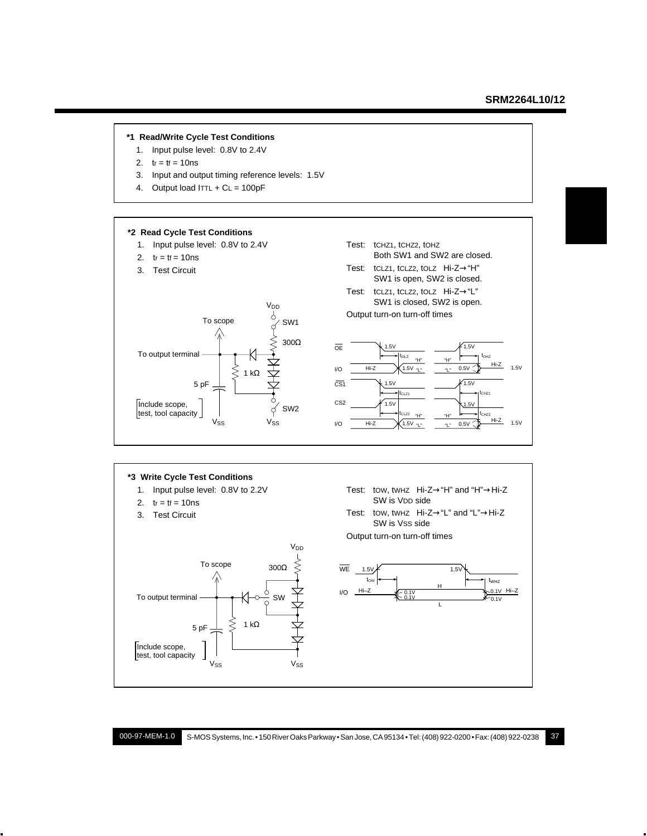#### **\*1 Read/Write Cycle Test Conditions**

- 1. Input pulse level: 0.8V to 2.4V
- 2.  $tr = tf = 10$ ns
- 3. Input and output timing reference levels: 1.5V
- 4. Output load  $ITTL + CL = 100pF$



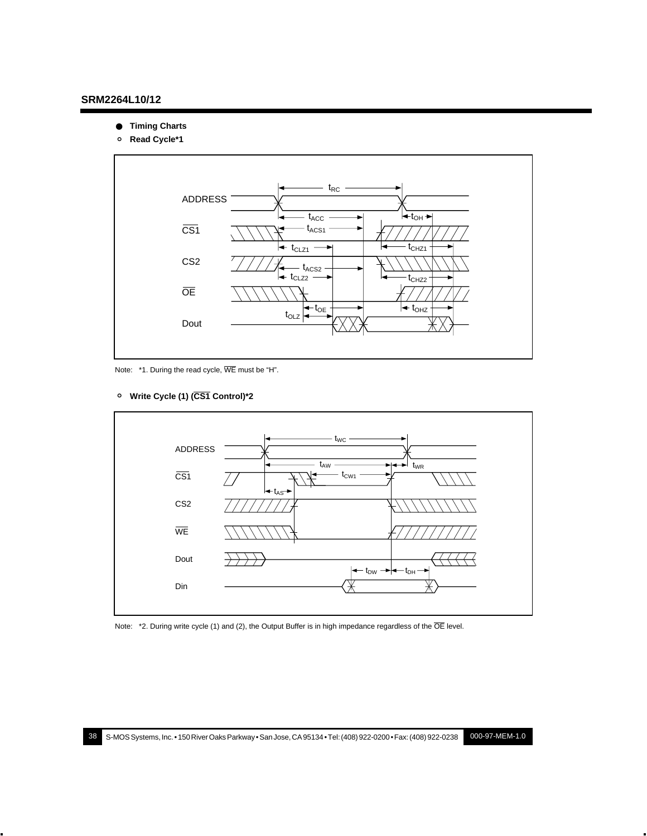- **Timing Charts**
- ° **Read Cycle\*1**



Note: \*1. During the read cycle, WE must be "H".





Note: \*2. During write cycle (1) and (2), the Output Buffer is in high impedance regardless of the  $\overline{OE}$  level.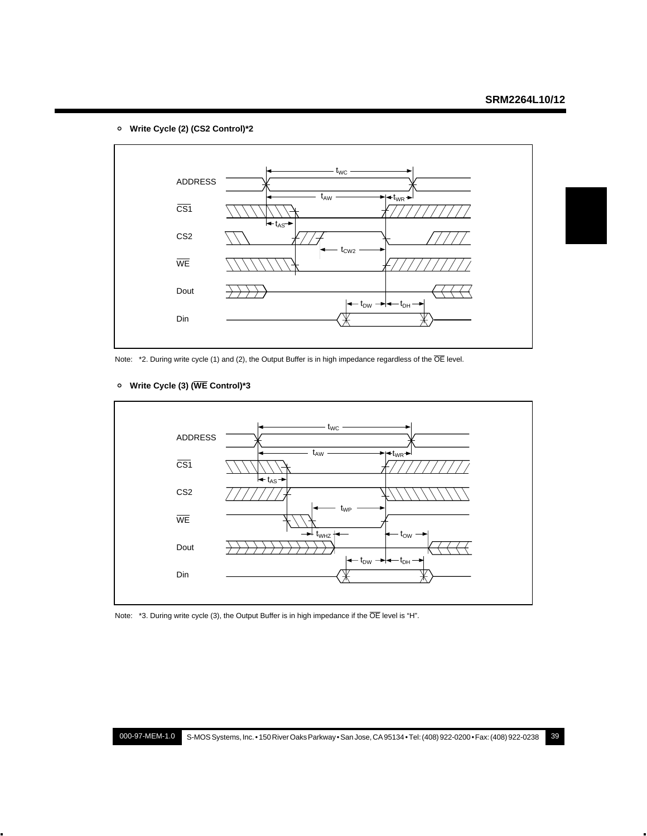° **Write Cycle (2) (CS2 Control)\*2**



Note: \*2. During write cycle (1) and (2), the Output Buffer is in high impedance regardless of the  $\overline{OE}$  level.



#### ° **Write Cycle (3) (WE Control)\*3**

Note: \*3. During write cycle (3), the Output Buffer is in high impedance if the  $\overline{OE}$  level is "H".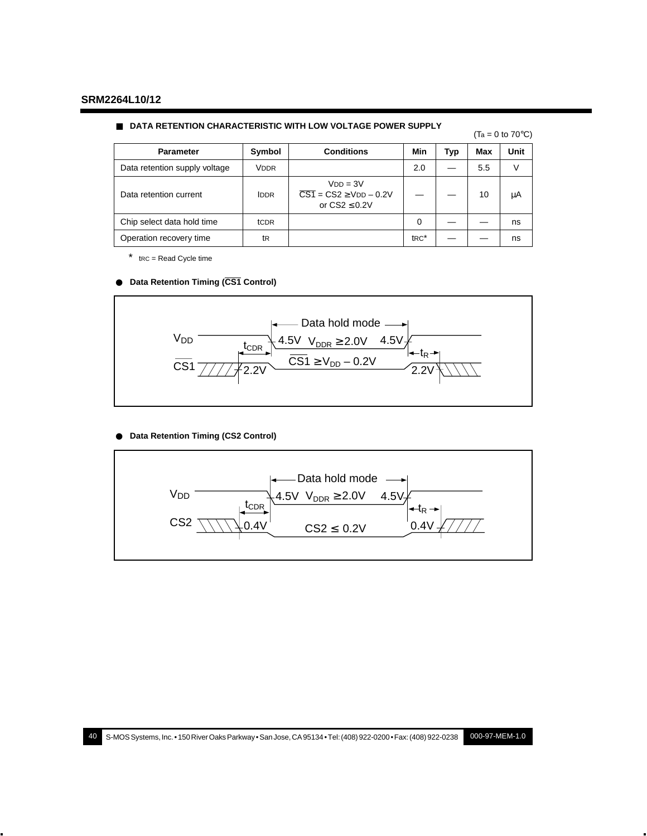#### ■ **DATA RETENTION CHARACTERISTIC WITH LOW VOLTAGE POWER SUPPLY**

| $(T_a = 0 \text{ to } 70^{\circ} \text{C})$ |  |  |  |
|---------------------------------------------|--|--|--|
|                                             |  |  |  |

| <b>Parameter</b>              | Symbol      | <b>Conditions</b>                                                            | Min               | Typ | Max | Unit |
|-------------------------------|-------------|------------------------------------------------------------------------------|-------------------|-----|-----|------|
| Data retention supply voltage | <b>VDDR</b> |                                                                              | 2.0               |     | 5.5 | V    |
| Data retention current        | <b>IDDR</b> | $VDD = 3V$<br>$\overline{CS1}$ = CS2 $\geq$ VDD - 0.2V<br>or $CS2 \leq 0.2V$ |                   |     | 10  | μA   |
| Chip select data hold time    | tCDR        |                                                                              | $\Omega$          |     |     | ns   |
| Operation recovery time       | tR          |                                                                              | t <sub>RC</sub> * |     |     | ns   |

\* tRC = Read Cycle time

#### ● **Data Retention Timing (CS1 Control)**



#### ● **Data Retention Timing (CS2 Control)**

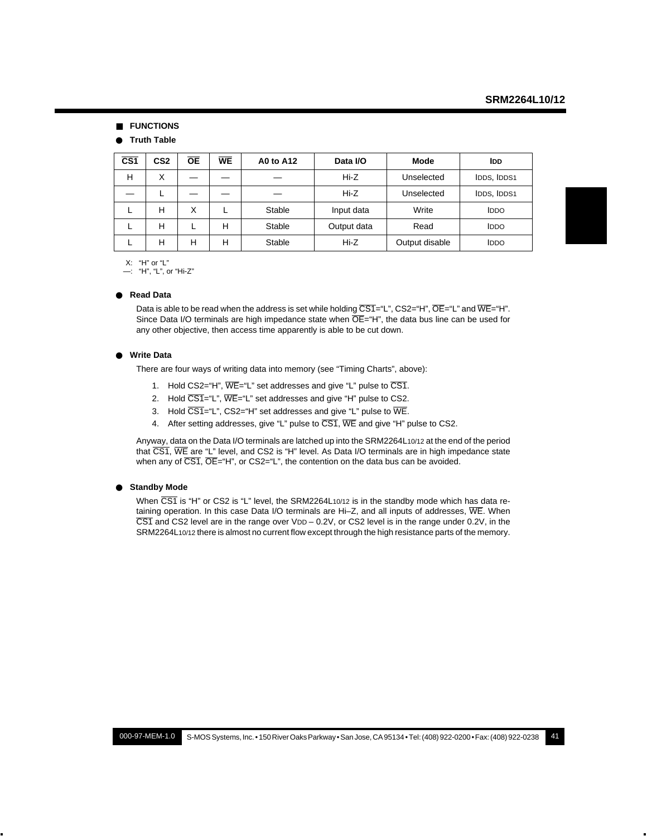#### ■ **FUNCTIONS**

#### ● **Truth Table**

| $\overline{\text{CS}}$ 1 | CS <sub>2</sub> | <b>OE</b> | <b>WE</b> | <b>A0 to A12</b> | Data I/O    | Mode           | <b>IDD</b>  |
|--------------------------|-----------------|-----------|-----------|------------------|-------------|----------------|-------------|
| н                        | X               |           |           |                  | Hi-Z        | Unselected     | IDDS, IDDS1 |
|                          |                 |           |           |                  | Hi-Z        | Unselected     | IDDS, IDDS1 |
|                          | н               | Χ         |           | Stable           | Input data  | Write          | <b>IDDO</b> |
|                          | н               |           | н         | Stable           | Output data | Read           | <b>IDDO</b> |
|                          | н               | н         | н         | Stable           | Hi-Z        | Output disable | <b>IDDO</b> |

X: "H" or "L"

—: "H", "L", or "Hi-Z"

#### ● **Read Data**

Data is able to be read when the address is set while holding  $\overline{CS1}$ ="L",  $\overline{CS2}$ ="H",  $\overline{OE}$ ="L" and  $\overline{WE}$ ="H". Since Data I/O terminals are high impedance state when  $\overline{OE}$ ="H", the data bus line can be used for any other objective, then access time apparently is able to be cut down.

#### ● **Write Data**

There are four ways of writing data into memory (see "Timing Charts", above):

- 1. Hold CS2="H",  $\overline{WE}$ ="L" set addresses and give "L" pulse to  $\overline{CS1}$ .
- 2. Hold  $\overline{CS1}$ ="L",  $\overline{WE}$ ="L" set addresses and give "H" pulse to CS2.
- 3. Hold  $\overline{CS1}$ ="L", CS2="H" set addresses and give "L" pulse to  $\overline{WE}$ .
- 4. After setting addresses, give "L" pulse to CS1, WE and give "H" pulse to CS2.

Anyway, data on the Data I/O terminals are latched up into the SRM2264L10/12 at the end of the period that CS1, WE are "L" level, and CS2 is "H" level. As Data I/O terminals are in high impedance state when any of  $\overline{CS1}$ ,  $\overline{OE}$ ="H", or  $CS2$ ="L", the contention on the data bus can be avoided.

#### ● **Standby Mode**

When  $\overline{\text{CS1}}$  is "H" or CS2 is "L" level, the SRM2264L10/12 is in the standby mode which has data retaining operation. In this case Data I/O terminals are Hi-Z, and all inputs of addresses, WE. When  $\overline{CS1}$  and CS2 level are in the range over VDD – 0.2V, or CS2 level is in the range under 0.2V, in the SRM2264L10/12 there is almost no current flow except through the high resistance parts of the memory.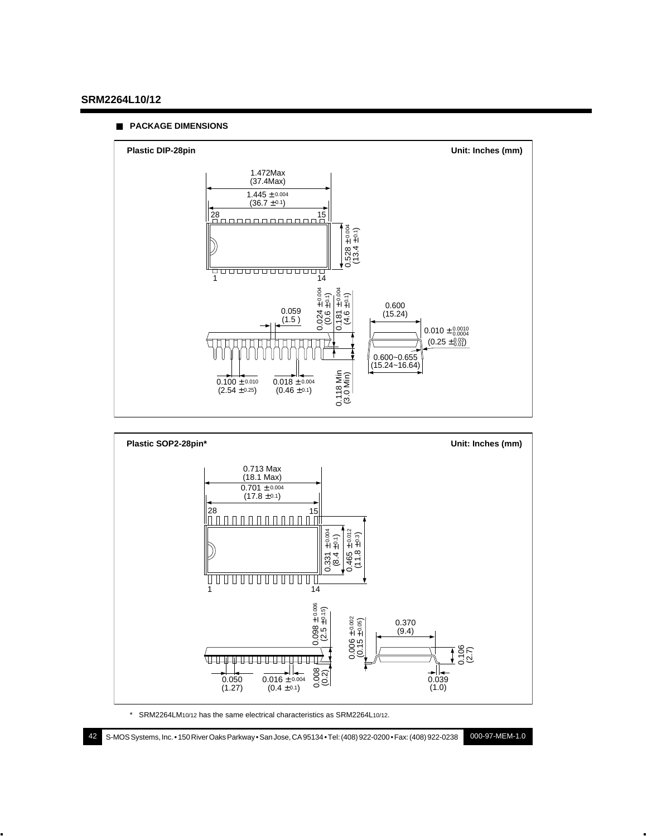#### ■ **PACKAGE DIMENSIONS**





\* SRM2264LM10/12 has the same electrical characteristics as SRM2264L10/12.

42 S-MOS Systems, Inc. • 150 River Oaks Parkway • San Jose, CA 95134 • Tel: (408) 922-0200 • Fax: (408) 922-0238 000-97-MEM-1.0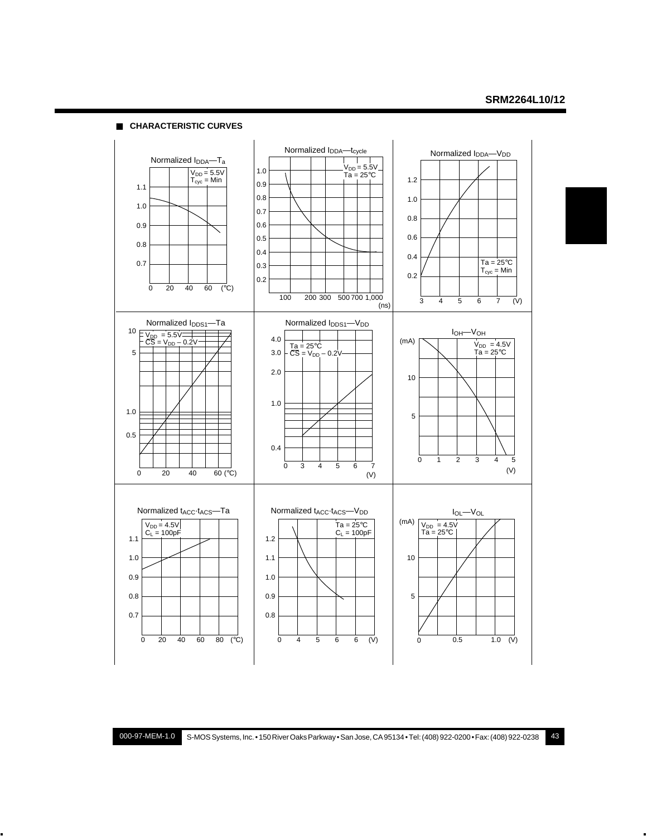■ **CHARACTERISTIC CURVES**